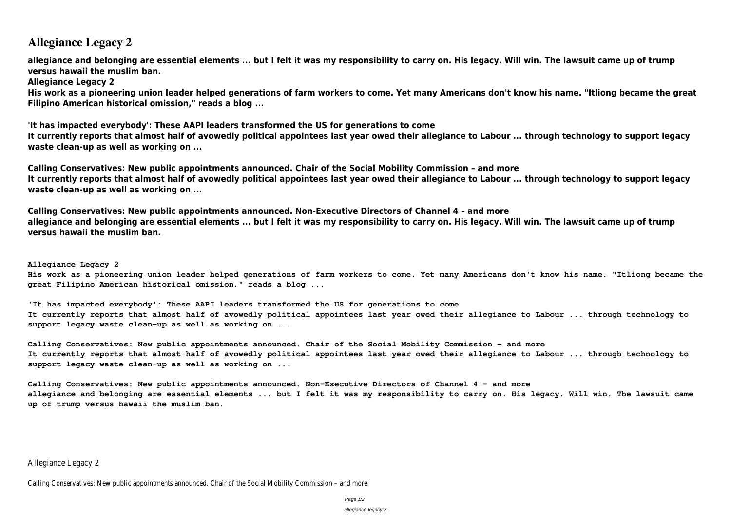# **Allegiance Legacy 2**

**allegiance and belonging are essential elements ... but I felt it was my responsibility to carry on. His legacy. Will win. The lawsuit came up of trump versus hawaii the muslim ban.**

**Allegiance Legacy 2**

**His work as a pioneering union leader helped generations of farm workers to come. Yet many Americans don't know his name. "Itliong became the great Filipino American historical omission," reads a blog ...**

**'It has impacted everybody': These AAPI leaders transformed the US for generations to come It currently reports that almost half of avowedly political appointees last year owed their allegiance to Labour ... through technology to support legacy waste clean-up as well as working on ...**

**Calling Conservatives: New public appointments announced. Chair of the Social Mobility Commission – and more It currently reports that almost half of avowedly political appointees last year owed their allegiance to Labour ... through technology to support legacy waste clean-up as well as working on ...**

**Calling Conservatives: New public appointments announced. Non-Executive Directors of Channel 4 – and more allegiance and belonging are essential elements ... but I felt it was my responsibility to carry on. His legacy. Will win. The lawsuit came up of trump versus hawaii the muslim ban.**

**Allegiance Legacy 2 His work as a pioneering union leader helped generations of farm workers to come. Yet many Americans don't know his name. "Itliong became the great Filipino American historical omission," reads a blog ...**

**'It has impacted everybody': These AAPI leaders transformed the US for generations to come It currently reports that almost half of avowedly political appointees last year owed their allegiance to Labour ... through technology to support legacy waste clean-up as well as working on ...**

**Calling Conservatives: New public appointments announced. Chair of the Social Mobility Commission – and more It currently reports that almost half of avowedly political appointees last year owed their allegiance to Labour ... through technology to support legacy waste clean-up as well as working on ...**

**Calling Conservatives: New public appointments announced. Non-Executive Directors of Channel 4 – and more allegiance and belonging are essential elements ... but I felt it was my responsibility to carry on. His legacy. Will win. The lawsuit came up of trump versus hawaii the muslim ban.**

Allegiance Legacy 2

Calling Conservatives: New public appointments announced. Chair of the Social Mobility Commission – and more

Page 1/2

allegiance-legacy-2